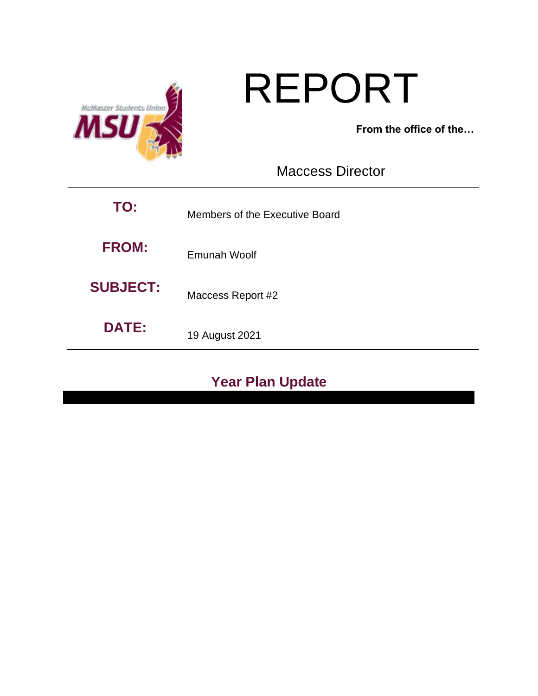

# REPORT

**From the office of the…**

Maccess Director

| TO:             | Members of the Executive Board |  |
|-----------------|--------------------------------|--|
| <b>FROM:</b>    | Emunah Woolf                   |  |
| <b>SUBJECT:</b> | Maccess Report #2              |  |
| <b>DATE:</b>    | 19 August 2021                 |  |

# **Year Plan Update**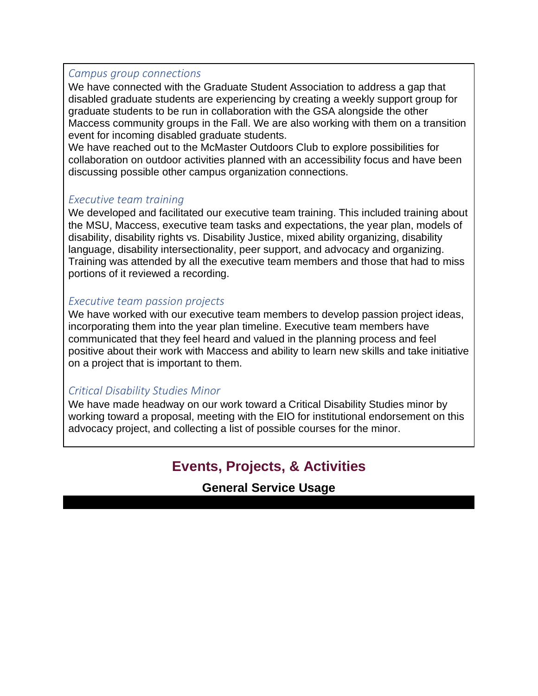#### *Campus group connections*

We have connected with the Graduate Student Association to address a gap that disabled graduate students are experiencing by creating a weekly support group for graduate students to be run in collaboration with the GSA alongside the other Maccess community groups in the Fall. We are also working with them on a transition event for incoming disabled graduate students.

We have reached out to the McMaster Outdoors Club to explore possibilities for collaboration on outdoor activities planned with an accessibility focus and have been discussing possible other campus organization connections.

#### *Executive team training*

We developed and facilitated our executive team training. This included training about the MSU, Maccess, executive team tasks and expectations, the year plan, models of disability, disability rights vs. Disability Justice, mixed ability organizing, disability language, disability intersectionality, peer support, and advocacy and organizing. Training was attended by all the executive team members and those that had to miss portions of it reviewed a recording.

#### *Executive team passion projects*

We have worked with our executive team members to develop passion project ideas, incorporating them into the year plan timeline. Executive team members have communicated that they feel heard and valued in the planning process and feel positive about their work with Maccess and ability to learn new skills and take initiative on a project that is important to them.

#### *Critical Disability Studies Minor*

We have made headway on our work toward a Critical Disability Studies minor by working toward a proposal, meeting with the EIO for institutional endorsement on this advocacy project, and collecting a list of possible courses for the minor.

## **Events, Projects, & Activities**

**General Service Usage**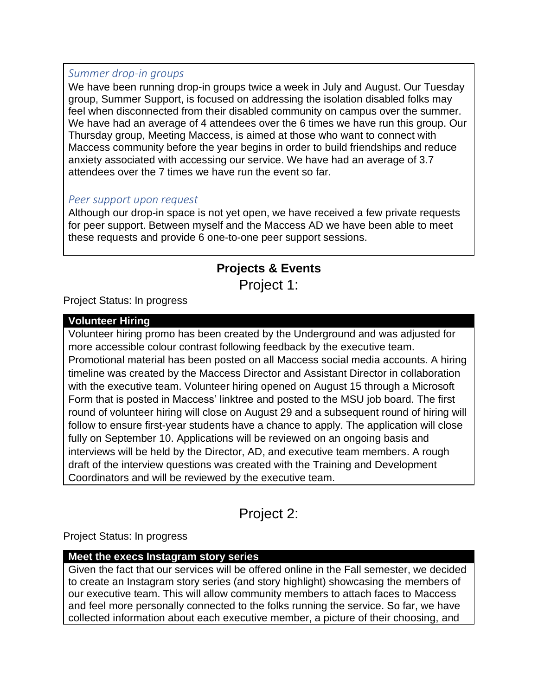#### *Summer drop-in groups*

We have been running drop-in groups twice a week in July and August. Our Tuesday group, Summer Support, is focused on addressing the isolation disabled folks may feel when disconnected from their disabled community on campus over the summer. We have had an average of 4 attendees over the 6 times we have run this group. Our Thursday group, Meeting Maccess, is aimed at those who want to connect with Maccess community before the year begins in order to build friendships and reduce anxiety associated with accessing our service. We have had an average of 3.7 attendees over the 7 times we have run the event so far.

#### *Peer support upon request*

Although our drop-in space is not yet open, we have received a few private requests for peer support. Between myself and the Maccess AD we have been able to meet these requests and provide 6 one-to-one peer support sessions.

## **Projects & Events** Project 1:

Project Status: In progress

#### **Volunteer Hiring**

Volunteer hiring promo has been created by the Underground and was adjusted for more accessible colour contrast following feedback by the executive team. Promotional material has been posted on all Maccess social media accounts. A hiring timeline was created by the Maccess Director and Assistant Director in collaboration with the executive team. Volunteer hiring opened on August 15 through a Microsoft Form that is posted in Maccess' linktree and posted to the MSU job board. The first round of volunteer hiring will close on August 29 and a subsequent round of hiring will follow to ensure first-year students have a chance to apply. The application will close fully on September 10. Applications will be reviewed on an ongoing basis and interviews will be held by the Director, AD, and executive team members. A rough draft of the interview questions was created with the Training and Development Coordinators and will be reviewed by the executive team.

Project 2:

Project Status: In progress

#### **Meet the execs Instagram story series**

Given the fact that our services will be offered online in the Fall semester, we decided to create an Instagram story series (and story highlight) showcasing the members of our executive team. This will allow community members to attach faces to Maccess and feel more personally connected to the folks running the service. So far, we have collected information about each executive member, a picture of their choosing, and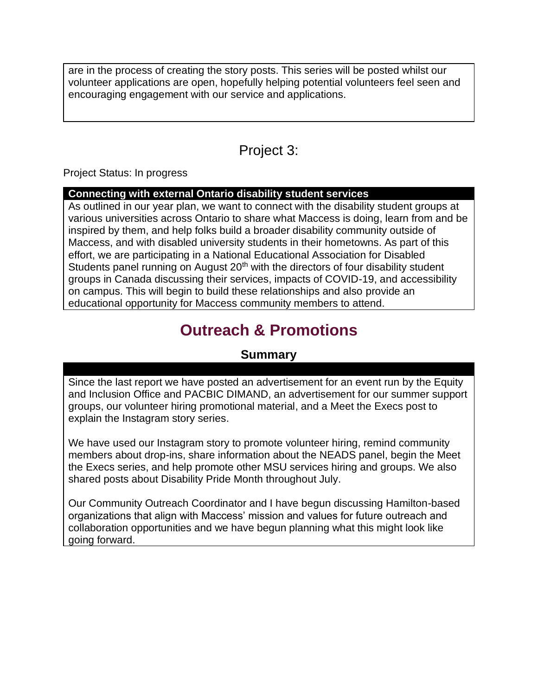are in the process of creating the story posts. This series will be posted whilst our volunteer applications are open, hopefully helping potential volunteers feel seen and encouraging engagement with our service and applications.

## Project 3:

Project Status: In progress

#### **Connecting with external Ontario disability student services**

As outlined in our year plan, we want to connect with the disability student groups at various universities across Ontario to share what Maccess is doing, learn from and be inspired by them, and help folks build a broader disability community outside of Maccess, and with disabled university students in their hometowns. As part of this effort, we are participating in a National Educational Association for Disabled Students panel running on August 20<sup>th</sup> with the directors of four disability student groups in Canada discussing their services, impacts of COVID-19, and accessibility on campus. This will begin to build these relationships and also provide an educational opportunity for Maccess community members to attend.

# **Outreach & Promotions**

## **Summary**

Since the last report we have posted an advertisement for an event run by the Equity and Inclusion Office and PACBIC DIMAND, an advertisement for our summer support groups, our volunteer hiring promotional material, and a Meet the Execs post to explain the Instagram story series.

We have used our Instagram story to promote volunteer hiring, remind community members about drop-ins, share information about the NEADS panel, begin the Meet the Execs series, and help promote other MSU services hiring and groups. We also shared posts about Disability Pride Month throughout July.

Our Community Outreach Coordinator and I have begun discussing Hamilton-based organizations that align with Maccess' mission and values for future outreach and collaboration opportunities and we have begun planning what this might look like going forward.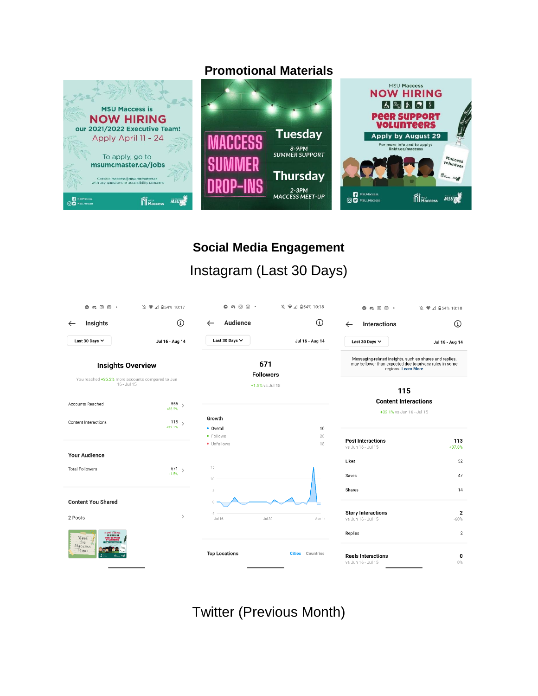## **Promotional Materials**



# **Social Media Engagement**  Instagram (Last 30 Days)

| $\circ$ $\circ$ $\circ$<br>$\circ$                              | 10:17 2 34 2 10:17               | $\circ$ $\circ$ $\circ$ $\circ$ $\cdot$ | 12 ● △ 日54% 10:18          | $\circ$ and $\circ$ .                                                                                                                     |                          |
|-----------------------------------------------------------------|----------------------------------|-----------------------------------------|----------------------------|-------------------------------------------------------------------------------------------------------------------------------------------|--------------------------|
| <b>Insights</b><br>$\leftarrow$                                 | $\textcircled{\scriptsize{i}}$   | Audience<br>$\leftarrow$                | $\Omega$                   | <b>Interactions</b><br>$\leftarrow$                                                                                                       | $\circ$                  |
| Last 30 Days $\vee$                                             | Jul 16 - Aug 14                  | Last 30 Days $\vee$                     | Jul 16 - Aug 14            | Last 30 Days $\vee$                                                                                                                       | Jul 16 - Aug 14          |
| <b>Insights Overview</b>                                        |                                  | 671<br><b>Followers</b>                 |                            | Messaging-related insights, such as shares and replies,<br>may be lower than expected due to privacy rules in some<br>regions. Learn More |                          |
| You reached +35.2% more accounts compared to Jun<br>16 - Jul 15 |                                  | +1.5% vs Jul 15                         |                            |                                                                                                                                           |                          |
|                                                                 |                                  |                                         |                            | 115<br><b>Content Interactions</b>                                                                                                        |                          |
| <b>Accounts Reached</b>                                         | 556<br>$\rightarrow$<br>$+35.2%$ | +32.1% vs Jun 16 - Jul 15               |                            |                                                                                                                                           |                          |
| 115<br><b>Content Interactions</b><br>$+32.1%$                  |                                  | Growth                                  |                            |                                                                                                                                           |                          |
|                                                                 |                                  | • Overall<br>· Follows                  | 10<br>28                   |                                                                                                                                           |                          |
|                                                                 |                                  | • Unfollows                             | 18                         | <b>Post Interactions</b><br>vs Jun 16 - Jul 15                                                                                            | 113<br>+37.8%            |
| <b>Your Audience</b>                                            |                                  |                                         |                            | Likes                                                                                                                                     | 52                       |
| <b>Total Followers</b>                                          | $671_{>}$<br>$+1.5%$             | 15<br>10                                |                            | Saves                                                                                                                                     | 47                       |
|                                                                 |                                  | 5                                       |                            | Shares                                                                                                                                    | 14                       |
| <b>Content You Shared</b>                                       |                                  | $\theta$                                |                            |                                                                                                                                           |                          |
| 2 Posts                                                         | $\mathcal{E}$                    | $-5$<br>$Jul$ 16<br>Jul 30              | Aug 1-                     | <b>Story Interactions</b><br>vs Jun 16 - Jul 15                                                                                           | $\overline{2}$<br>$-60%$ |
| <b>NOW HIRING</b><br>問題関節関<br>Meet                              |                                  |                                         |                            | Replies                                                                                                                                   | $\overline{2}$           |
| the<br>Maccess<br>Team                                          |                                  | <b>Top Locations</b>                    | <b>Cities</b><br>Countries | <b>Reels Interactions</b><br>vs Jun 16 - Jul 15                                                                                           | 0<br>$0\%$               |

Twitter (Previous Month)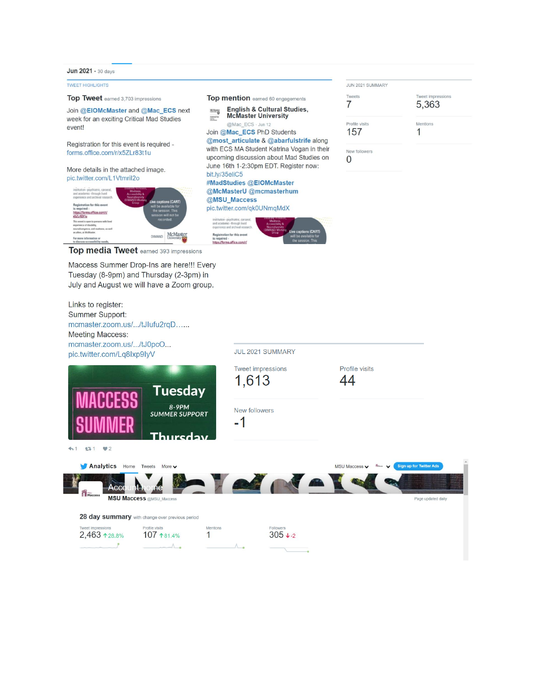Jun 2021 · 30 days

**TWEET HIGHLIGHTS** 

Top mention earned 60 engagements Top Tweet earned 3,703 impressions English & Cultural Studies,<br>McMaster University Join @EIOMcMaster and @Mac\_ECS next  $\stackrel{\text{MCMaster}}{\xrightarrow{\hspace*{1.5cm}}}$ week for an exciting Critical Mad Studies HARANTE @Mac\_ECS - Jun 12 event! Join @Mac\_ECS PhD Students @most\_articulate & @abarfulstrife along Registration for this event is required with ECS MA Student Katrina Vogan in their forms.office.com/r/x5ZLr83t1u upcoming discussion about Mad Studies on  $\overline{0}$ June 16th 1-2:30pm EDT. Register now: More details in the attached image. bit.ly/35eliC5 pic.twitter.com/L1Vtmril2o #MadStudies @EIOMcMaster @McMasterU @mcmasterhum @MSU\_Maccess for this eve pic.twitter.com/qk0UNmqMdX Loffice.com/r/ ation for this event<br>red -DIMAND McMaster For more information equired -<br>ps://forms.office.com/r/

Top media Tweet earned 393 impressions

Maccess Summer Drop-Ins are here!!! Every Tuesday (8-9pm) and Thursday (2-3pm) in July and August we will have a Zoom group.

| JUN 2021 SUMMARY |                            |
|------------------|----------------------------|
| Tweets           | Tweet impressions<br>5,363 |
| Profile visits   | Mentions                   |
| 157              |                            |
| New followers    |                            |

Links to register: Summer Support: mcmaster.zoom.us/.../tJlufu2rqD...... **Meeting Maccess:** mcmaster.zoom.us/.../tJ0pcO... JUL 2021 SUMMARY pic.twitter.com/Lq8Ixp9IyV **Tweet impressions** Profile visits 1,613 44 Tuesday 8-9PM New followers **SUMMER SUPPORT**  $-1$ Thureday  $41 131 22$ Analytics Home Tweets More v MSU Maccess v flam ign up for Twitte **A** M Acc **MSU Maccess @MSU\_Maccess** Page updated daily

28 day summary with change over previous period

Profile visits znoias 2,463 128.8% 107 181.4%  $\Lambda$ .

Mentions  $\mathbf{1}$ 

 $305 + 2$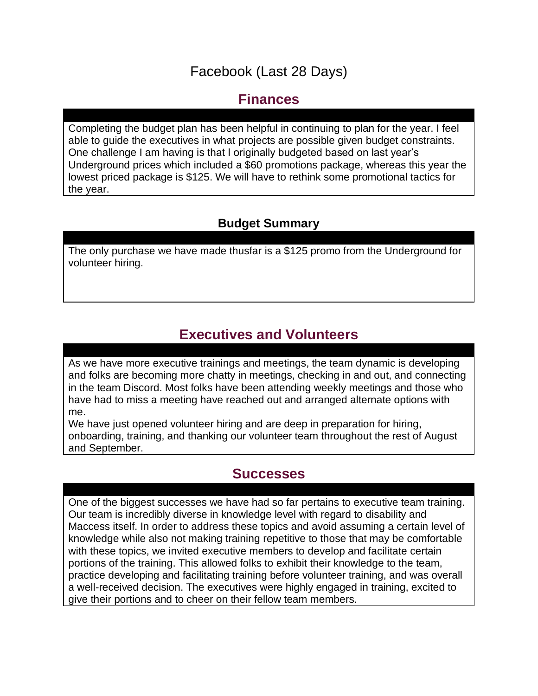## Facebook (Last 28 Days)

## **Finances**

Completing the budget plan has been helpful in continuing to plan for the year. I feel able to guide the executives in what projects are possible given budget constraints. One challenge I am having is that I originally budgeted based on last year's Underground prices which included a \$60 promotions package, whereas this year the lowest priced package is \$125. We will have to rethink some promotional tactics for the year.

## **Budget Summary**

The only purchase we have made thusfar is a \$125 promo from the Underground for volunteer hiring.

# **Executives and Volunteers**

As we have more executive trainings and meetings, the team dynamic is developing and folks are becoming more chatty in meetings, checking in and out, and connecting in the team Discord. Most folks have been attending weekly meetings and those who have had to miss a meeting have reached out and arranged alternate options with me.

We have just opened volunteer hiring and are deep in preparation for hiring, onboarding, training, and thanking our volunteer team throughout the rest of August and September.

## **Successes**

One of the biggest successes we have had so far pertains to executive team training. Our team is incredibly diverse in knowledge level with regard to disability and Maccess itself. In order to address these topics and avoid assuming a certain level of knowledge while also not making training repetitive to those that may be comfortable with these topics, we invited executive members to develop and facilitate certain portions of the training. This allowed folks to exhibit their knowledge to the team, practice developing and facilitating training before volunteer training, and was overall a well-received decision. The executives were highly engaged in training, excited to give their portions and to cheer on their fellow team members.